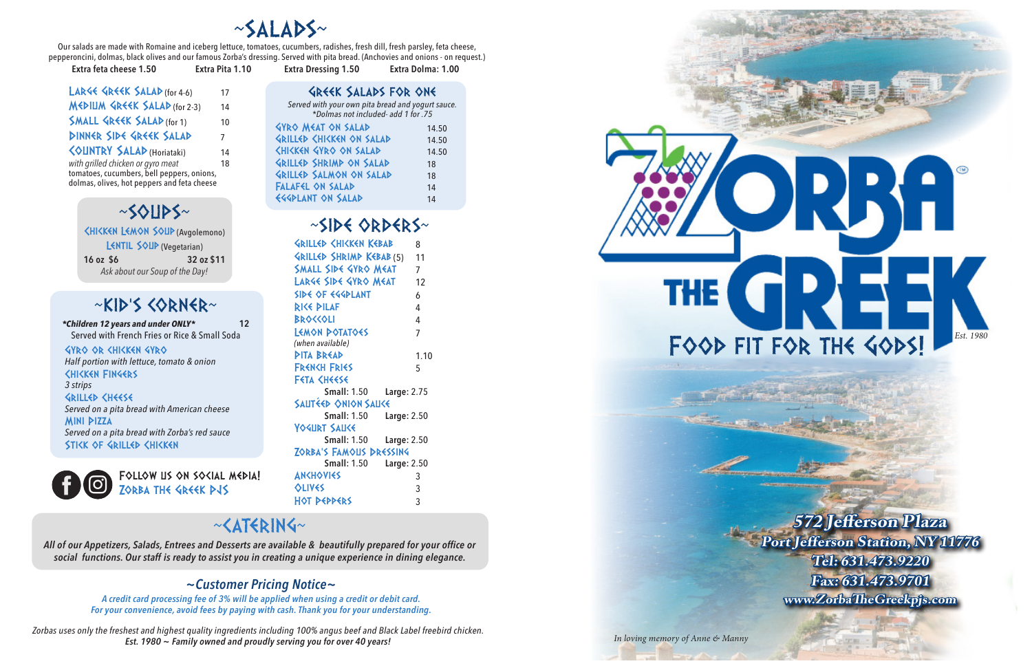

# ~SOUPS~

|                                | <b><hikken (avgolemono)<="" b="" lemon="" soup=""></hikken></b> |
|--------------------------------|-----------------------------------------------------------------|
|                                | LENTIL SOUP (Vegetarian)                                        |
| 16 oz \$6                      | 32 oz \$11                                                      |
| Ask about our Soup of the Day! |                                                                 |



*Served with your own pita bread and yogurt sauce. \*Dolmas not included- add 1 for .75* Gyro Meat on salad 14.50 GRILLED CHICKEN ON SALAD

Our salads are made with Romaine and iceberg lettuce, tomatoes, cucumbers, radishes, fresh dill, fresh parsley, feta cheese, pepperoncini, dolmas, black olives and our famous Zorba's dressing. Served with pita bread. (Anchovies and onions - on request.)

| Extra feta cheese 1.50 | Extra Pita 1.10 | <b>Extra Dressing 1.50</b> | Extra Dolma: 1.00 |
|------------------------|-----------------|----------------------------|-------------------|
|                        |                 |                            |                   |

Greek Salads for one

| <b>SNILLY SHISKSIS VIS ZALAP</b> | 14.JU |
|----------------------------------|-------|
| <b>CHICKEN GYRO ON SALAD</b>     | 14.50 |
| <b>GRILLED SHRIMD ON SALAD</b>   | 18    |
| GRILLED SALMON ON SALAD          | 18    |
| <b>FALAFEL ON SALAD</b>          | 14    |
| <b>EGGPLANT ON SALAD</b>         | 14    |

Gyro or chicken gyro *Half portion with lettuce, tomato & onion*  Chicken Fingers *3 strips*  GRILLED CHEESE *Served on a pita bread with American cheese* Mini Pizza *Served on a pita bread with Zorba's red sauce* STIKK OF GRILLED CHIKKEN



| LARGE GREEK SALAD (for 4-6)                                                               | 17 |
|-------------------------------------------------------------------------------------------|----|
| MEDIUM GREEK SALAD (for 2-3)                                                              | 14 |
| <b>SMALL GREEK SALAD (for 1)</b>                                                          | 10 |
| DINNER SIDE GREEK SALAD                                                                   | 7  |
| <b><ountry (horiataki)<="" b="" salad=""></ountry></b>                                    | 14 |
| with grilled chicken or gyro meat                                                         | 18 |
| tomatoes, cucumbers, bell peppers, onions,<br>dolmas, olives, hot peppers and feta cheese |    |

# ~SIDE ORDERS~

| <b>GRILLED CHICKEN KEBAB</b>          | 8           |
|---------------------------------------|-------------|
| GRILLED SHRIMD KEBAB (5)              | 11          |
| SMALL SIDE GYRO MEAT                  | 7           |
| LARGE SIDE GYRØ MEAT                  | 12          |
| SIDE OF EGGPLANT                      | 6           |
| <b>RISS PILAF</b>                     | 4           |
| BROCCOLI                              | 4           |
| LEMON DOTATOES                        | 7           |
| (when available)                      |             |
| PITA BREAD                            | 1.10        |
| FRENCH FRIES                          | 5           |
| FETA <heese< td=""><td></td></heese<> |             |
| <b>Small: 1.50</b>                    | Large: 2.75 |
| SAUTEED ONION SAUCE                   |             |
| <b>Small: 1.50</b>                    | Large: 2.50 |
| <b>YOGURT SAUKE</b>                   |             |
| <b>Small: 1.50</b>                    | Large: 2.50 |
| ZORBA'S FAMOUS DRESSING               |             |
| <b>Small: 1.50</b>                    | Large: 2.50 |
| <b>AN<hovies< b=""></hovies<></b>     | 3           |
| <b>OLIVES</b>                         | 3           |
| <b>HOT DEPPERS</b>                    | 3           |

# ~KID'S CORNER~

*\*Children 12 years and under ONLY\** **12** Served with French Fries or Rice & Small Soda

*Zorbas uses only the freshest and highest quality ingredients including 100% angus beef and Black Label freebird chicken. Est. 1980 ~ Family owned and proudly serving you for over 40 years!*

Follow us on social media! Zorba the Greek PJS

# $~\sim$ <ATERING $\sim$

*All of our Appetizers, Salads, Entrees and Desserts are available & beautifully prepared for your office or social functions. Our staff is ready to assist you in creating a unique experience in dining elegance.*

# *~Customer Pricing Notice~*

*A credit card processing fee of 3% will be applied when using a credit or debit card. For your convenience, avoid fees by paying with cash. Thank you for your understanding.*